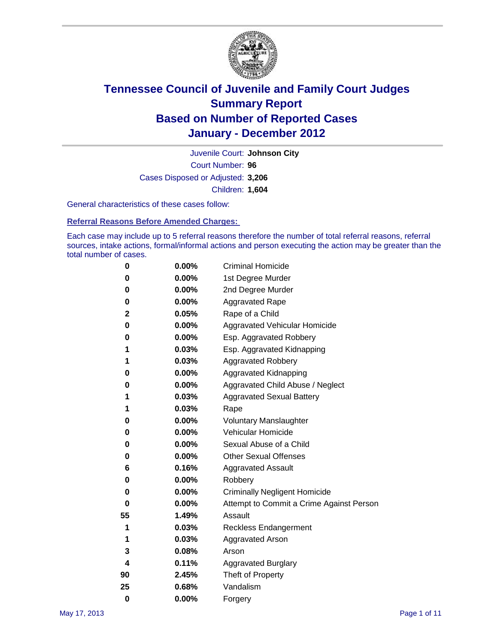

Court Number: **96** Juvenile Court: **Johnson City** Cases Disposed or Adjusted: **3,206** Children: **1,604**

General characteristics of these cases follow:

**Referral Reasons Before Amended Charges:** 

Each case may include up to 5 referral reasons therefore the number of total referral reasons, referral sources, intake actions, formal/informal actions and person executing the action may be greater than the total number of cases.

| 0  | 0.00%    | <b>Criminal Homicide</b>                 |
|----|----------|------------------------------------------|
| 0  | 0.00%    | 1st Degree Murder                        |
| 0  | 0.00%    | 2nd Degree Murder                        |
| 0  | 0.00%    | <b>Aggravated Rape</b>                   |
| 2  | 0.05%    | Rape of a Child                          |
| 0  | 0.00%    | Aggravated Vehicular Homicide            |
| 0  | 0.00%    | Esp. Aggravated Robbery                  |
| 1  | 0.03%    | Esp. Aggravated Kidnapping               |
| 1  | 0.03%    | <b>Aggravated Robbery</b>                |
| 0  | 0.00%    | Aggravated Kidnapping                    |
| 0  | 0.00%    | Aggravated Child Abuse / Neglect         |
| 1  | 0.03%    | <b>Aggravated Sexual Battery</b>         |
| 1  | 0.03%    | Rape                                     |
| 0  | $0.00\%$ | <b>Voluntary Manslaughter</b>            |
| 0  | 0.00%    | Vehicular Homicide                       |
| 0  | 0.00%    | Sexual Abuse of a Child                  |
| 0  | 0.00%    | <b>Other Sexual Offenses</b>             |
| 6  | 0.16%    | <b>Aggravated Assault</b>                |
| 0  | $0.00\%$ | Robbery                                  |
| 0  | 0.00%    | <b>Criminally Negligent Homicide</b>     |
| 0  | 0.00%    | Attempt to Commit a Crime Against Person |
| 55 | 1.49%    | Assault                                  |
| 1  | 0.03%    | <b>Reckless Endangerment</b>             |
| 1  | 0.03%    | <b>Aggravated Arson</b>                  |
| 3  | 0.08%    | Arson                                    |
| 4  | 0.11%    | <b>Aggravated Burglary</b>               |
| 90 | 2.45%    | Theft of Property                        |
| 25 | 0.68%    | Vandalism                                |
| 0  | 0.00%    | Forgery                                  |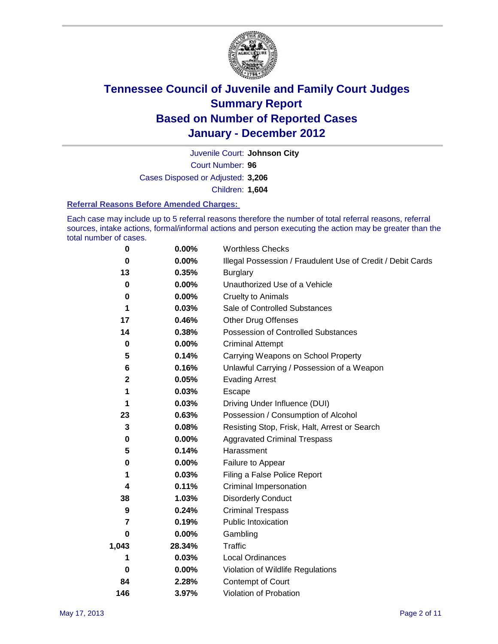

Court Number: **96** Juvenile Court: **Johnson City** Cases Disposed or Adjusted: **3,206** Children: **1,604**

#### **Referral Reasons Before Amended Charges:**

Each case may include up to 5 referral reasons therefore the number of total referral reasons, referral sources, intake actions, formal/informal actions and person executing the action may be greater than the total number of cases.

| 0     | 0.00%    | <b>Worthless Checks</b>                                     |
|-------|----------|-------------------------------------------------------------|
| 0     | 0.00%    | Illegal Possession / Fraudulent Use of Credit / Debit Cards |
| 13    | 0.35%    | <b>Burglary</b>                                             |
| 0     | $0.00\%$ | Unauthorized Use of a Vehicle                               |
| 0     | $0.00\%$ | <b>Cruelty to Animals</b>                                   |
| 1     | 0.03%    | Sale of Controlled Substances                               |
| 17    | 0.46%    | <b>Other Drug Offenses</b>                                  |
| 14    | 0.38%    | Possession of Controlled Substances                         |
| 0     | $0.00\%$ | <b>Criminal Attempt</b>                                     |
| 5     | 0.14%    | Carrying Weapons on School Property                         |
| 6     | 0.16%    | Unlawful Carrying / Possession of a Weapon                  |
| 2     | 0.05%    | <b>Evading Arrest</b>                                       |
| 1     | 0.03%    | Escape                                                      |
| 1     | 0.03%    | Driving Under Influence (DUI)                               |
| 23    | 0.63%    | Possession / Consumption of Alcohol                         |
| 3     | 0.08%    | Resisting Stop, Frisk, Halt, Arrest or Search               |
| 0     | $0.00\%$ | <b>Aggravated Criminal Trespass</b>                         |
| 5     | 0.14%    | Harassment                                                  |
| 0     | 0.00%    | Failure to Appear                                           |
| 1     | 0.03%    | Filing a False Police Report                                |
| 4     | 0.11%    | Criminal Impersonation                                      |
| 38    | 1.03%    | <b>Disorderly Conduct</b>                                   |
| 9     | 0.24%    | <b>Criminal Trespass</b>                                    |
| 7     | 0.19%    | <b>Public Intoxication</b>                                  |
| 0     | 0.00%    | Gambling                                                    |
| 1,043 | 28.34%   | Traffic                                                     |
| 1     | 0.03%    | Local Ordinances                                            |
| 0     | 0.00%    | Violation of Wildlife Regulations                           |
| 84    | 2.28%    | Contempt of Court                                           |
| 146   | 3.97%    | Violation of Probation                                      |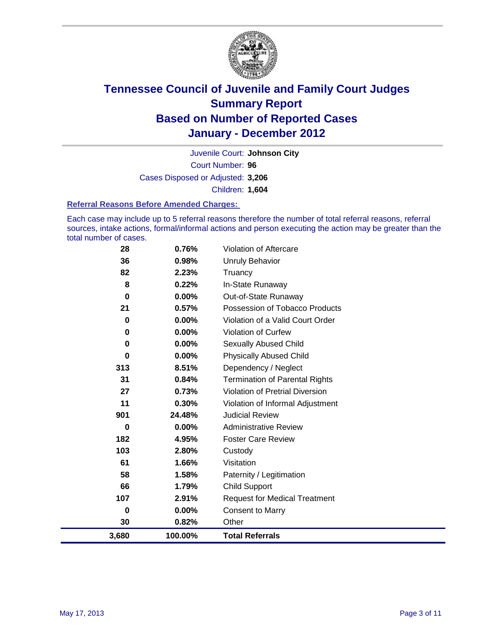

Court Number: **96** Juvenile Court: **Johnson City** Cases Disposed or Adjusted: **3,206** Children: **1,604**

#### **Referral Reasons Before Amended Charges:**

Each case may include up to 5 referral reasons therefore the number of total referral reasons, referral sources, intake actions, formal/informal actions and person executing the action may be greater than the total number of cases.

| 28          | 0.76%    | Violation of Aftercare                 |
|-------------|----------|----------------------------------------|
| 36          | 0.98%    | <b>Unruly Behavior</b>                 |
| 82          | 2.23%    | Truancy                                |
| 8           | 0.22%    | In-State Runaway                       |
| $\mathbf 0$ | $0.00\%$ | Out-of-State Runaway                   |
| 21          | 0.57%    | Possession of Tobacco Products         |
| 0           | 0.00%    | Violation of a Valid Court Order       |
| 0           | $0.00\%$ | <b>Violation of Curfew</b>             |
| 0           | 0.00%    | Sexually Abused Child                  |
| 0           | 0.00%    | <b>Physically Abused Child</b>         |
| 313         | 8.51%    | Dependency / Neglect                   |
| 31          | 0.84%    | <b>Termination of Parental Rights</b>  |
| 27          | 0.73%    | <b>Violation of Pretrial Diversion</b> |
| 11          | 0.30%    | Violation of Informal Adjustment       |
| 901         | 24.48%   | <b>Judicial Review</b>                 |
| 0           | 0.00%    | <b>Administrative Review</b>           |
| 182         | 4.95%    | <b>Foster Care Review</b>              |
| 103         | 2.80%    | Custody                                |
| 61          | 1.66%    | Visitation                             |
| 58          | 1.58%    | Paternity / Legitimation               |
| 66          | 1.79%    | <b>Child Support</b>                   |
| 107         | 2.91%    | <b>Request for Medical Treatment</b>   |
| 0           | 0.00%    | <b>Consent to Marry</b>                |
| 30          | 0.82%    | Other                                  |
| 3,680       | 100.00%  | <b>Total Referrals</b>                 |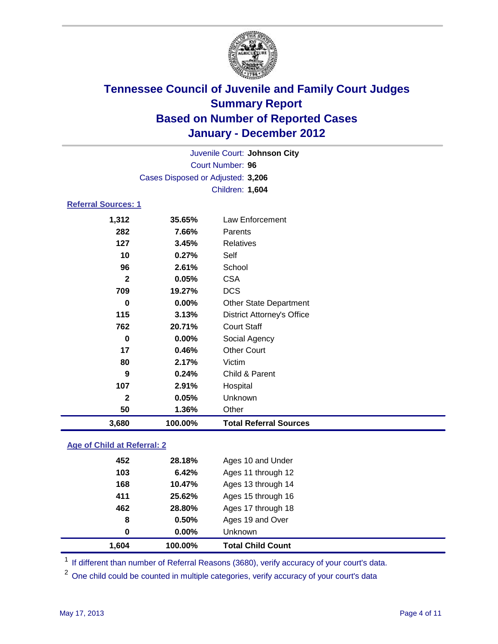

| Juvenile Court: Johnson City      |                            |                                   |  |  |  |
|-----------------------------------|----------------------------|-----------------------------------|--|--|--|
|                                   | <b>Court Number: 96</b>    |                                   |  |  |  |
| Cases Disposed or Adjusted: 3,206 |                            |                                   |  |  |  |
|                                   | Children: 1,604            |                                   |  |  |  |
|                                   | <b>Referral Sources: 1</b> |                                   |  |  |  |
| 1,312                             | 35.65%                     | Law Enforcement                   |  |  |  |
| 282                               | 7.66%                      | Parents                           |  |  |  |
| 127                               | 3.45%                      | <b>Relatives</b>                  |  |  |  |
| 10                                | 0.27%                      | Self                              |  |  |  |
| 96                                | 2.61%                      | School                            |  |  |  |
| $\mathbf{2}$                      | 0.05%                      | <b>CSA</b>                        |  |  |  |
| 709                               | 19.27%                     | <b>DCS</b>                        |  |  |  |
| $\bf{0}$                          | 0.00%                      | <b>Other State Department</b>     |  |  |  |
| 115                               | 3.13%                      | <b>District Attorney's Office</b> |  |  |  |
| 762                               | 20.71%                     | <b>Court Staff</b>                |  |  |  |
| $\bf{0}$                          | 0.00%                      | Social Agency                     |  |  |  |
| 17                                | 0.46%                      | <b>Other Court</b>                |  |  |  |
| 80                                | 2.17%                      | Victim                            |  |  |  |
| 9                                 | 0.24%                      | Child & Parent                    |  |  |  |
| 107                               | 2.91%                      | Hospital                          |  |  |  |
| $\mathbf{2}$                      | 0.05%                      | Unknown                           |  |  |  |
| 50                                | 1.36%                      | Other                             |  |  |  |
| 3,680                             | 100.00%                    | <b>Total Referral Sources</b>     |  |  |  |

### **Age of Child at Referral: 2**

| 1,604 | 100.00% | <b>Total Child Count</b> |
|-------|---------|--------------------------|
| 0     | 0.00%   | <b>Unknown</b>           |
| 8     | 0.50%   | Ages 19 and Over         |
| 462   | 28.80%  | Ages 17 through 18       |
| 411   | 25.62%  | Ages 15 through 16       |
| 168   | 10.47%  | Ages 13 through 14       |
| 103   | 6.42%   | Ages 11 through 12       |
| 452   | 28.18%  | Ages 10 and Under        |
|       |         |                          |

<sup>1</sup> If different than number of Referral Reasons (3680), verify accuracy of your court's data.

<sup>2</sup> One child could be counted in multiple categories, verify accuracy of your court's data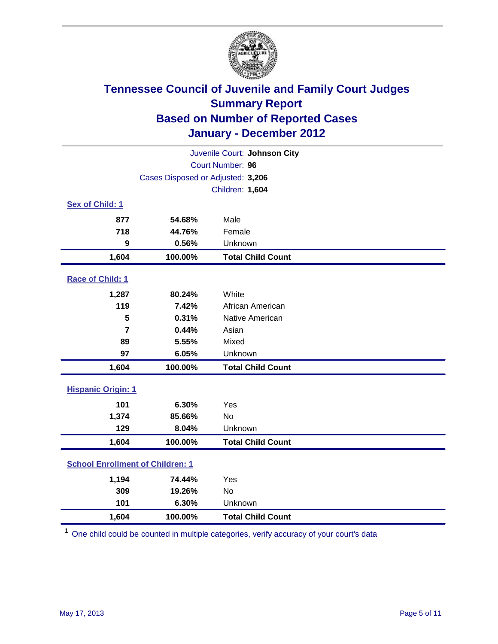

| Juvenile Court: Johnson City            |                                   |                          |  |  |
|-----------------------------------------|-----------------------------------|--------------------------|--|--|
| Court Number: 96                        |                                   |                          |  |  |
|                                         | Cases Disposed or Adjusted: 3,206 |                          |  |  |
|                                         |                                   | Children: 1,604          |  |  |
| Sex of Child: 1                         |                                   |                          |  |  |
| 877                                     | 54.68%                            | Male                     |  |  |
| 718                                     | 44.76%                            | Female                   |  |  |
| 9                                       | 0.56%                             | Unknown                  |  |  |
| 1,604                                   | 100.00%                           | <b>Total Child Count</b> |  |  |
| Race of Child: 1                        |                                   |                          |  |  |
| 1,287                                   | 80.24%                            | White                    |  |  |
| 119                                     | 7.42%                             | African American         |  |  |
| 5                                       | 0.31%                             | Native American          |  |  |
| $\overline{7}$                          | 0.44%                             | Asian                    |  |  |
| 89                                      | 5.55%                             | Mixed                    |  |  |
| 97                                      | 6.05%                             | Unknown                  |  |  |
| 1,604                                   | 100.00%                           | <b>Total Child Count</b> |  |  |
| <b>Hispanic Origin: 1</b>               |                                   |                          |  |  |
| 101                                     | 6.30%                             | Yes                      |  |  |
| 1,374                                   | 85.66%                            | <b>No</b>                |  |  |
| 129                                     | 8.04%                             | Unknown                  |  |  |
| 1,604                                   | 100.00%                           | <b>Total Child Count</b> |  |  |
| <b>School Enrollment of Children: 1</b> |                                   |                          |  |  |
| 1,194                                   | 74.44%                            | Yes                      |  |  |
| 309                                     | 19.26%                            | <b>No</b>                |  |  |
| 101                                     | 6.30%                             | Unknown                  |  |  |
| 1,604                                   | 100.00%                           | <b>Total Child Count</b> |  |  |

<sup>1</sup> One child could be counted in multiple categories, verify accuracy of your court's data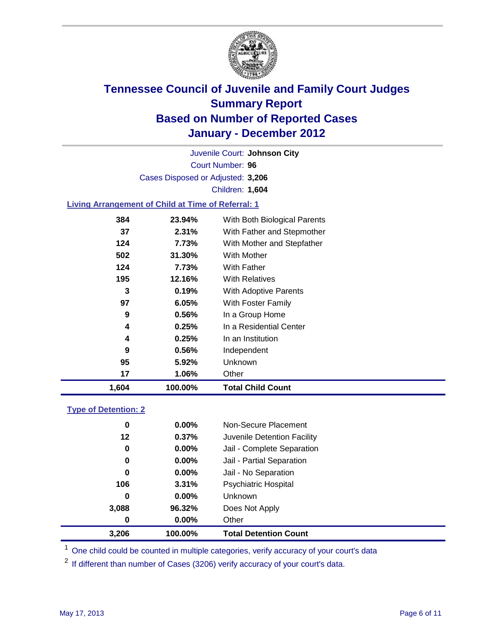

Court Number: **96** Juvenile Court: **Johnson City** Cases Disposed or Adjusted: **3,206** Children: **1,604**

### **Living Arrangement of Child at Time of Referral: 1**

| 1,604 | 100.00% | <b>Total Child Count</b>     |  |
|-------|---------|------------------------------|--|
| 17    | 1.06%   | Other                        |  |
| 95    | 5.92%   | <b>Unknown</b>               |  |
| 9     | 0.56%   | Independent                  |  |
| 4     | 0.25%   | In an Institution            |  |
| 4     | 0.25%   | In a Residential Center      |  |
| 9     | 0.56%   | In a Group Home              |  |
| 97    | 6.05%   | With Foster Family           |  |
| 3     | 0.19%   | With Adoptive Parents        |  |
| 195   | 12.16%  | <b>With Relatives</b>        |  |
| 124   | 7.73%   | With Father                  |  |
| 502   | 31.30%  | With Mother                  |  |
| 124   | 7.73%   | With Mother and Stepfather   |  |
| 37    | 2.31%   | With Father and Stepmother   |  |
| 384   | 23.94%  | With Both Biological Parents |  |
|       |         |                              |  |

#### **Type of Detention: 2**

| 3,206 | 100.00%  | <b>Total Detention Count</b> |  |
|-------|----------|------------------------------|--|
| 0     | 0.00%    | Other                        |  |
| 3,088 | 96.32%   | Does Not Apply               |  |
| 0     | $0.00\%$ | Unknown                      |  |
| 106   | 3.31%    | Psychiatric Hospital         |  |
| 0     | 0.00%    | Jail - No Separation         |  |
| 0     | $0.00\%$ | Jail - Partial Separation    |  |
| 0     | 0.00%    | Jail - Complete Separation   |  |
| 12    | 0.37%    | Juvenile Detention Facility  |  |
| 0     | $0.00\%$ | Non-Secure Placement         |  |
|       |          |                              |  |

<sup>1</sup> One child could be counted in multiple categories, verify accuracy of your court's data

<sup>2</sup> If different than number of Cases (3206) verify accuracy of your court's data.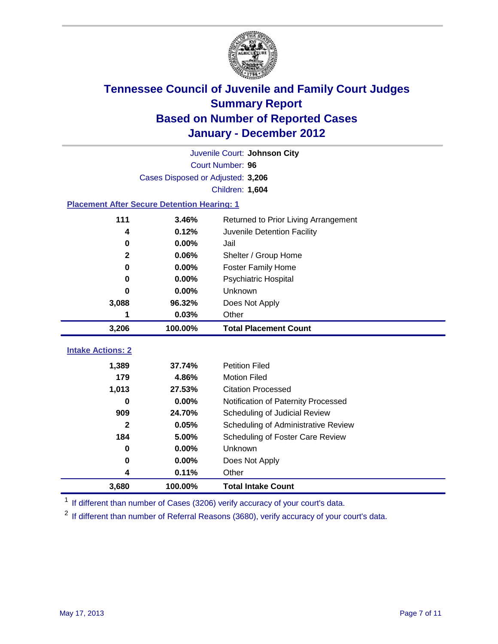

| Juvenile Court: Johnson City                       |                                   |                                      |  |  |  |
|----------------------------------------------------|-----------------------------------|--------------------------------------|--|--|--|
|                                                    | Court Number: 96                  |                                      |  |  |  |
|                                                    | Cases Disposed or Adjusted: 3,206 |                                      |  |  |  |
|                                                    | <b>Children: 1,604</b>            |                                      |  |  |  |
| <b>Placement After Secure Detention Hearing: 1</b> |                                   |                                      |  |  |  |
| 111                                                | 3.46%                             | Returned to Prior Living Arrangement |  |  |  |
| 4                                                  | 0.12%                             | Juvenile Detention Facility          |  |  |  |
| $\bf{0}$                                           | 0.00%                             | Jail                                 |  |  |  |
| $\mathbf{2}$                                       | 0.06%                             | Shelter / Group Home                 |  |  |  |
| $\mathbf 0$                                        | 0.00%                             | <b>Foster Family Home</b>            |  |  |  |
| 0                                                  | 0.00%                             | Psychiatric Hospital                 |  |  |  |
| 0                                                  | 0.00%                             | Unknown                              |  |  |  |
| 3,088                                              | 96.32%                            | Does Not Apply                       |  |  |  |
| 1                                                  | 0.03%                             | Other                                |  |  |  |
| 3,206                                              | 100.00%                           | <b>Total Placement Count</b>         |  |  |  |
|                                                    |                                   |                                      |  |  |  |
| <b>Intake Actions: 2</b>                           |                                   |                                      |  |  |  |
| 1,389                                              | 37.74%                            | <b>Petition Filed</b>                |  |  |  |
| 179                                                | 4.86%                             | <b>Motion Filed</b>                  |  |  |  |
| 1,013                                              | 27.53%                            | <b>Citation Processed</b>            |  |  |  |
| 0                                                  | 0.00%                             | Notification of Paternity Processed  |  |  |  |
| 909                                                | 24.70%                            | Scheduling of Judicial Review        |  |  |  |
| $\mathbf{2}$                                       | 0.05%                             | Scheduling of Administrative Review  |  |  |  |
| 184                                                | 5.00%                             | Scheduling of Foster Care Review     |  |  |  |
| 0                                                  | 0.00%                             | Unknown                              |  |  |  |
| $\bf{0}$                                           | 0.00%                             | Does Not Apply                       |  |  |  |
| 4                                                  | 0.11%                             | Other                                |  |  |  |
| 3,680                                              | 100.00%                           | <b>Total Intake Count</b>            |  |  |  |

<sup>1</sup> If different than number of Cases (3206) verify accuracy of your court's data.

<sup>2</sup> If different than number of Referral Reasons (3680), verify accuracy of your court's data.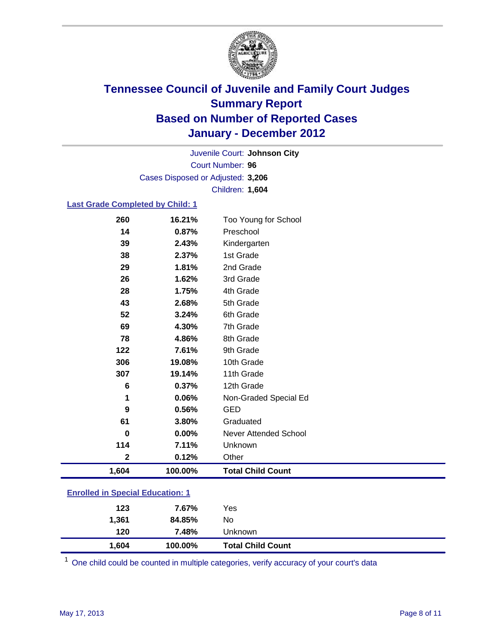

Court Number: **96** Juvenile Court: **Johnson City** Cases Disposed or Adjusted: **3,206** Children: **1,604**

#### **Last Grade Completed by Child: 1**

| 260                                     | 16.21%  | Too Young for School     |  |
|-----------------------------------------|---------|--------------------------|--|
| 14                                      | 0.87%   | Preschool                |  |
| 39                                      | 2.43%   | Kindergarten             |  |
| 38                                      | 2.37%   | 1st Grade                |  |
| 29                                      | 1.81%   | 2nd Grade                |  |
| 26                                      | 1.62%   | 3rd Grade                |  |
| 28                                      | 1.75%   | 4th Grade                |  |
| 43                                      | 2.68%   | 5th Grade                |  |
| 52                                      | 3.24%   | 6th Grade                |  |
| 69                                      | 4.30%   | 7th Grade                |  |
| 78                                      | 4.86%   | 8th Grade                |  |
| 122                                     | 7.61%   | 9th Grade                |  |
| 306                                     | 19.08%  | 10th Grade               |  |
| 307                                     | 19.14%  | 11th Grade               |  |
| 6                                       | 0.37%   | 12th Grade               |  |
| 1                                       | 0.06%   | Non-Graded Special Ed    |  |
| 9                                       | 0.56%   | <b>GED</b>               |  |
| 61                                      | 3.80%   | Graduated                |  |
| 0                                       | 0.00%   | Never Attended School    |  |
| 114                                     | 7.11%   | Unknown                  |  |
| $\mathbf 2$                             | 0.12%   | Other                    |  |
| 1,604                                   | 100.00% | <b>Total Child Count</b> |  |
| <b>Enrolled in Special Education: 1</b> |         |                          |  |

One child could be counted in multiple categories, verify accuracy of your court's data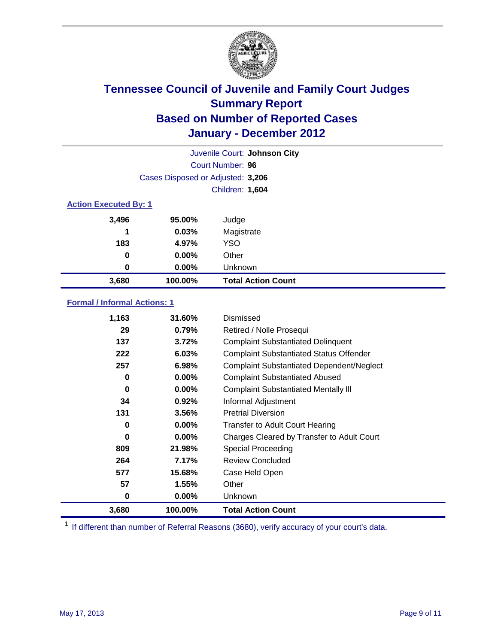

| Juvenile Court: Johnson City |                                   |                           |  |  |
|------------------------------|-----------------------------------|---------------------------|--|--|
|                              | Court Number: 96                  |                           |  |  |
|                              | Cases Disposed or Adjusted: 3,206 |                           |  |  |
|                              | Children: 1,604                   |                           |  |  |
| <b>Action Executed By: 1</b> |                                   |                           |  |  |
| 3,496                        | 95.00%                            | Judge                     |  |  |
| 1                            | 0.03%                             | Magistrate                |  |  |
| 183                          | 4.97%                             | <b>YSO</b>                |  |  |
| 0                            | $0.00\%$                          | Other                     |  |  |
| 0                            | 0.00%                             | Unknown                   |  |  |
| 3,680                        | 100.00%                           | <b>Total Action Count</b> |  |  |

### **Formal / Informal Actions: 1**

| 1,163 | 31.60%   | Dismissed                                        |
|-------|----------|--------------------------------------------------|
| 29    | 0.79%    | Retired / Nolle Prosequi                         |
| 137   | 3.72%    | <b>Complaint Substantiated Delinquent</b>        |
| 222   | 6.03%    | <b>Complaint Substantiated Status Offender</b>   |
| 257   | 6.98%    | <b>Complaint Substantiated Dependent/Neglect</b> |
| 0     | $0.00\%$ | <b>Complaint Substantiated Abused</b>            |
| 0     | $0.00\%$ | <b>Complaint Substantiated Mentally III</b>      |
| 34    | 0.92%    | Informal Adjustment                              |
| 131   | 3.56%    | <b>Pretrial Diversion</b>                        |
| 0     | $0.00\%$ | <b>Transfer to Adult Court Hearing</b>           |
| 0     | 0.00%    | Charges Cleared by Transfer to Adult Court       |
| 809   | 21.98%   | Special Proceeding                               |
| 264   | 7.17%    | <b>Review Concluded</b>                          |
| 577   | 15.68%   | Case Held Open                                   |
| 57    | 1.55%    | Other                                            |
| 0     | $0.00\%$ | Unknown                                          |
| 3,680 | 100.00%  | <b>Total Action Count</b>                        |

<sup>1</sup> If different than number of Referral Reasons (3680), verify accuracy of your court's data.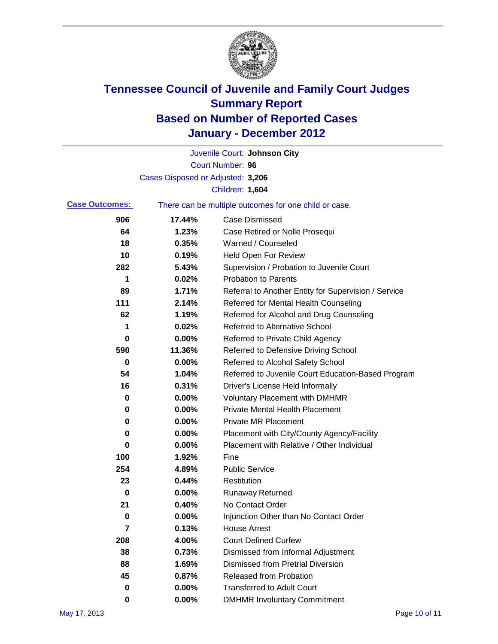

|                       |                                   | Juvenile Court: Johnson City                          |
|-----------------------|-----------------------------------|-------------------------------------------------------|
|                       |                                   | <b>Court Number: 96</b>                               |
|                       | Cases Disposed or Adjusted: 3,206 |                                                       |
|                       |                                   | Children: 1,604                                       |
| <b>Case Outcomes:</b> |                                   | There can be multiple outcomes for one child or case. |
| 906                   | 17.44%                            | <b>Case Dismissed</b>                                 |
| 64                    | 1.23%                             | Case Retired or Nolle Prosequi                        |
| 18                    | 0.35%                             | Warned / Counseled                                    |
| 10                    | 0.19%                             | <b>Held Open For Review</b>                           |
| 282                   | 5.43%                             | Supervision / Probation to Juvenile Court             |
| 1                     | 0.02%                             | <b>Probation to Parents</b>                           |
| 89                    | 1.71%                             | Referral to Another Entity for Supervision / Service  |
| 111                   | 2.14%                             | Referred for Mental Health Counseling                 |
| 62                    | 1.19%                             | Referred for Alcohol and Drug Counseling              |
| 1                     | 0.02%                             | <b>Referred to Alternative School</b>                 |
| 0                     | 0.00%                             | Referred to Private Child Agency                      |
| 590                   | 11.36%                            | Referred to Defensive Driving School                  |
| 0                     | 0.00%                             | Referred to Alcohol Safety School                     |
| 54                    | 1.04%                             | Referred to Juvenile Court Education-Based Program    |
| 16                    | 0.31%                             | Driver's License Held Informally                      |
| 0                     | 0.00%                             | <b>Voluntary Placement with DMHMR</b>                 |
| 0                     | 0.00%                             | <b>Private Mental Health Placement</b>                |
| 0                     | 0.00%                             | <b>Private MR Placement</b>                           |
| 0                     | 0.00%                             | Placement with City/County Agency/Facility            |
| 0                     | 0.00%                             | Placement with Relative / Other Individual            |
| 100                   | 1.92%                             | Fine                                                  |
| 254                   | 4.89%                             | <b>Public Service</b>                                 |
| 23                    | 0.44%                             | Restitution                                           |
| 0                     | 0.00%                             | <b>Runaway Returned</b>                               |
| 21                    | 0.40%                             | No Contact Order                                      |
| 0                     | 0.00%                             | Injunction Other than No Contact Order                |
| 7                     | 0.13%                             | <b>House Arrest</b>                                   |
| 208                   | 4.00%                             | <b>Court Defined Curfew</b>                           |
| 38                    | 0.73%                             | Dismissed from Informal Adjustment                    |
| 88                    | 1.69%                             | <b>Dismissed from Pretrial Diversion</b>              |
| 45                    | 0.87%                             | <b>Released from Probation</b>                        |
| 0                     | 0.00%                             | <b>Transferred to Adult Court</b>                     |
| 0                     | $0.00\%$                          | <b>DMHMR Involuntary Commitment</b>                   |